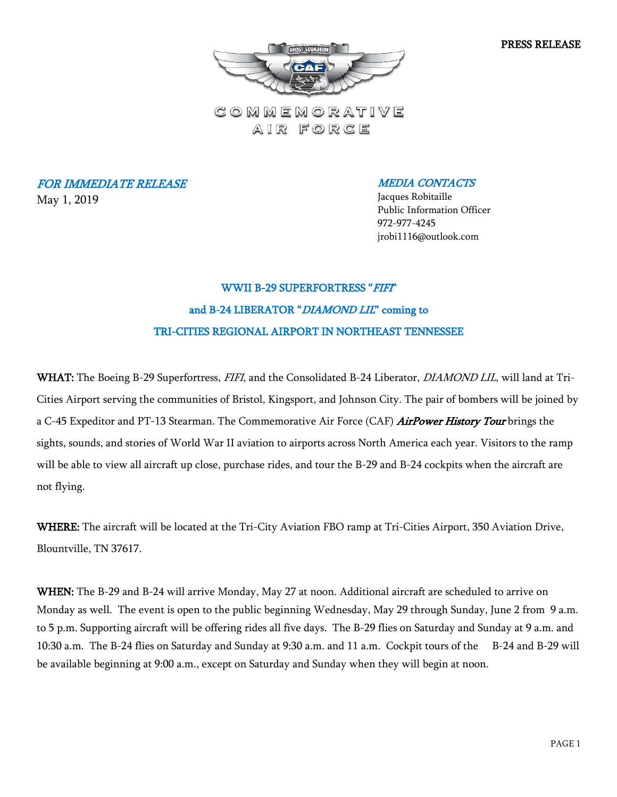PRESS RELEASE



COMMEMORATIVE AIR FORCE

FOR IMMEDIATE RELEASE May 1, 2019

MEDIA CONTACTS

Jacques Robitaille Public Information Officer 972-977-4245 jrobi1116@outlook.com

## WWII B-29 SUPERFORTRESS "FIFT" and B-24 LIBERATOR "DIAMOND LIL" coming to TRI-CITIES REGIONAL AIRPORT IN NORTHEAST TENNESSEE

WHAT: The Boeing B-29 Superfortress, FIFI, and the Consolidated B-24 Liberator, *DIAMOND LIL*, will land at Tri-Cities Airport serving the communities of Bristol, Kingsport, and Johnson City. The pair of bombers will be joined by a C-45 Expeditor and PT-13 Stearman. The Commemorative Air Force (CAF) *AirPower History Tour* brings the sights, sounds, and stories of World War II aviation to airports across North America each year. Visitors to the ramp will be able to view all aircraft up close, purchase rides, and tour the B-29 and B-24 cockpits when the aircraft are not flying.

WHERE: The aircraft will be located at the Tri-City Aviation FBO ramp at Tri-Cities Airport, 350 Aviation Drive, Blountville, TN 37617.

WHEN: The B-29 and B-24 will arrive Monday, May 27 at noon. Additional aircraft are scheduled to arrive on Monday as well. The event is open to the public beginning Wednesday, May 29 through Sunday, June 2 from 9 a.m. to 5 p.m. Supporting aircraft will be offering rides all five days. The B-29 flies on Saturday and Sunday at 9 a.m. and 10:30 a.m. The B-24 flies on Saturday and Sunday at 9:30 a.m. and 11 a.m. Cockpit tours of the B-24 and B-29 will be available beginning at 9:00 a.m., except on Saturday and Sunday when they will begin at noon.